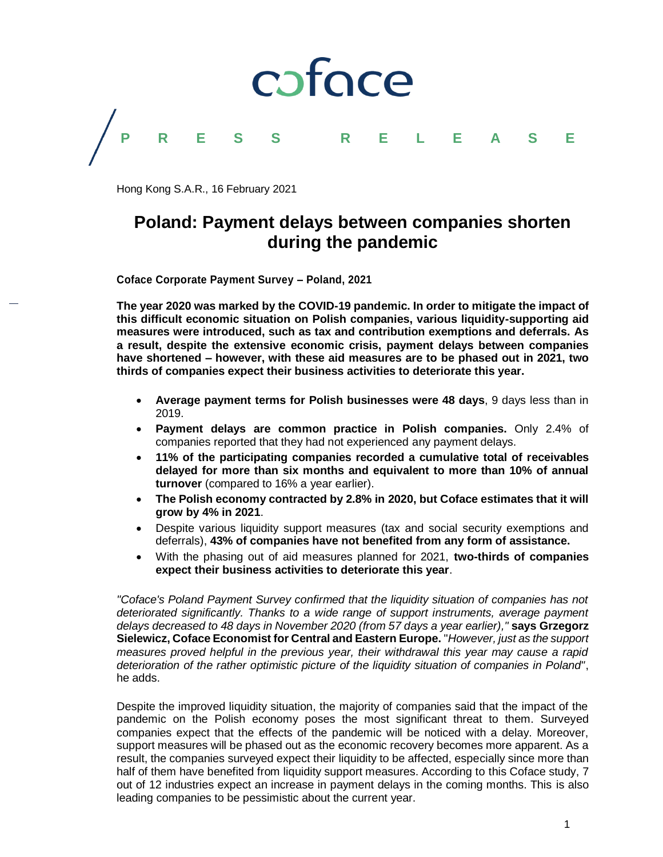

Hong Kong S.A.R., 16 February 2021

### **Poland: Payment delays between companies shorten during the pandemic**

**Coface Corporate Payment Survey – Poland, 2021**

**The year 2020 was marked by the COVID-19 pandemic. In order to mitigate the impact of this difficult economic situation on Polish companies, various liquidity-supporting aid measures were introduced, such as tax and contribution exemptions and deferrals. As a result, despite the extensive economic crisis, payment delays between companies have shortened – however, with these aid measures are to be phased out in 2021, two thirds of companies expect their business activities to deteriorate this year.**

- **Average payment terms for Polish businesses were 48 days**, 9 days less than in 2019.
- **Payment delays are common practice in Polish companies.** Only 2.4% of companies reported that they had not experienced any payment delays.
- **11% of the participating companies recorded a cumulative total of receivables delayed for more than six months and equivalent to more than 10% of annual turnover** (compared to 16% a year earlier).
- **The Polish economy contracted by 2.8% in 2020, but Coface estimates that it will grow by 4% in 2021**.
- Despite various liquidity support measures (tax and social security exemptions and deferrals), **43% of companies have not benefited from any form of assistance.**
- With the phasing out of aid measures planned for 2021, **two-thirds of companies expect their business activities to deteriorate this year**.

*"Coface's Poland Payment Survey confirmed that the liquidity situation of companies has not deteriorated significantly. Thanks to a wide range of support instruments, average payment delays decreased to 48 days in November 2020 (from 57 days a year earlier),"* **says Grzegorz Sielewicz, Coface Economist for Central and Eastern Europe.** "*However, just as the support measures proved helpful in the previous year, their withdrawal this year may cause a rapid deterioration of the rather optimistic picture of the liquidity situation of companies in Poland"*, he adds.

Despite the improved liquidity situation, the majority of companies said that the impact of the pandemic on the Polish economy poses the most significant threat to them. Surveyed companies expect that the effects of the pandemic will be noticed with a delay. Moreover, support measures will be phased out as the economic recovery becomes more apparent. As a result, the companies surveyed expect their liquidity to be affected, especially since more than half of them have benefited from liquidity support measures. According to this Coface study, 7 out of 12 industries expect an increase in payment delays in the coming months. This is also leading companies to be pessimistic about the current year.